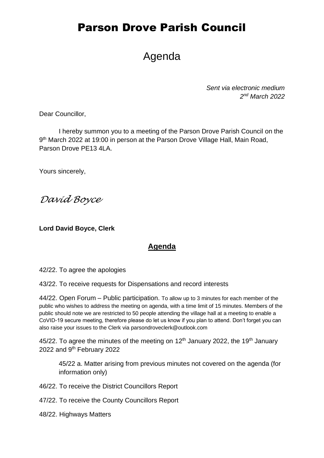# Parson Drove Parish Council

# Agenda

*Sent via electronic medium 2 nd March 2022*

Dear Councillor,

I hereby summon you to a meeting of the Parson Drove Parish Council on the 9<sup>th</sup> March 2022 at 19:00 in person at the Parson Drove Village Hall, Main Road, Parson Drove PE13 4LA.

Yours sincerely,

*David Boyce*

**Lord David Boyce, Clerk**

### **Agenda**

42/22. To agree the apologies

43/22. To receive requests for Dispensations and record interests

44/22. Open Forum – Public participation. To allow up to 3 minutes for each member of the public who wishes to address the meeting on agenda, with a time limit of 15 minutes. Members of the public should note we are restricted to 50 people attending the village hall at a meeting to enable a CoVID-19 secure meeting, therefore please do let us know if you plan to attend. Don't forget you can also raise your issues to the Clerk via parsondroveclerk@outlook.com

45/22. To agree the minutes of the meeting on  $12<sup>th</sup>$  January 2022, the 19<sup>th</sup> January 2022 and 9<sup>th</sup> February 2022

45/22 a. Matter arising from previous minutes not covered on the agenda (for information only)

46/22. To receive the District Councillors Report

47/22. To receive the County Councillors Report

48/22. Highways Matters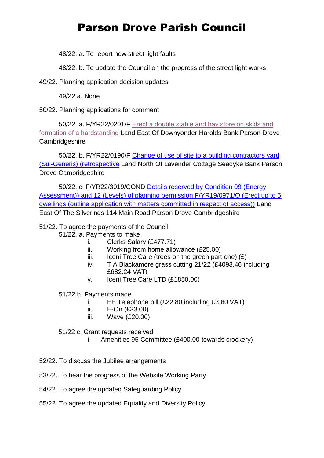# Parson Drove Parish Council

48/22. a. To report new street light faults

48/22. b. To update the Council on the progress of the street light works

49/22. Planning application decision updates

49/22 a. None

50/22. Planning applications for comment

50/22. a. F/YR22/0201/F [Erect a double stable and hay store on skids and](https://www.publicaccess.fenland.gov.uk/publicaccess/applicationDetails.do?keyVal=R6OK5CHE0D800&activeTab=summary)  [formation of a hardstanding](https://www.publicaccess.fenland.gov.uk/publicaccess/applicationDetails.do?keyVal=R6OK5CHE0D800&activeTab=summary) Land East Of Downyonder Harolds Bank Parson Drove **Cambridgeshire** 

50/22. b. F/YR22/0190/F [Change of use of site to a building contractors yard](https://www.publicaccess.fenland.gov.uk/publicaccess/applicationDetails.do?keyVal=R71YZUHE06P00&activeTab=summary)  [\(Sui-Generis\) \(retrospective](https://www.publicaccess.fenland.gov.uk/publicaccess/applicationDetails.do?keyVal=R71YZUHE06P00&activeTab=summary) Land North Of Lavender Cottage Seadyke Bank Parson Drove Cambridgeshire

50/22. c. F/YR22/3019/COND [Details reserved by Condition 09 \(Energy](https://www.publicaccess.fenland.gov.uk/publicaccess/applicationDetails.do?keyVal=R7GAY1HE0D800&activeTab=summary)  [Assessment\)\) and 12 \(Levels\) of planning permission F/YR19/0971/O \(Erect up to 5](https://www.publicaccess.fenland.gov.uk/publicaccess/applicationDetails.do?keyVal=R7GAY1HE0D800&activeTab=summary)  [dwellings \(outline application with matters committed in respect of access\)\)](https://www.publicaccess.fenland.gov.uk/publicaccess/applicationDetails.do?keyVal=R7GAY1HE0D800&activeTab=summary) Land East Of The Silverings 114 Main Road Parson Drove Cambridgeshire

51/22. To agree the payments of the Council

- 51/22. a. Payments to make
	- i. Clerks Salary (£477.71)
	- ii. Working from home allowance (£25.00)
	- iii. Iceni Tree Care (trees on the green part one)  $(E)$
	- iv. T A Blackamore grass cutting 21/22 (£4093.46 including £682.24 VAT)
	- v. Iceni Tree Care LTD (£1850.00)

51/22 b. Payments made

- i. EE Telephone bill (£22.80 including £3.80 VAT)
- ii. E-On (£33.00)
- iii. Wave (£20.00)

#### 51/22 c. Grant requests received

- i. Amenities 95 Committee (£400.00 towards crockery)
- 52/22. To discuss the Jubilee arrangements
- 53/22. To hear the progress of the Website Working Party
- 54/22. To agree the updated Safeguarding Policy
- 55/22. To agree the updated Equality and Diversity Policy